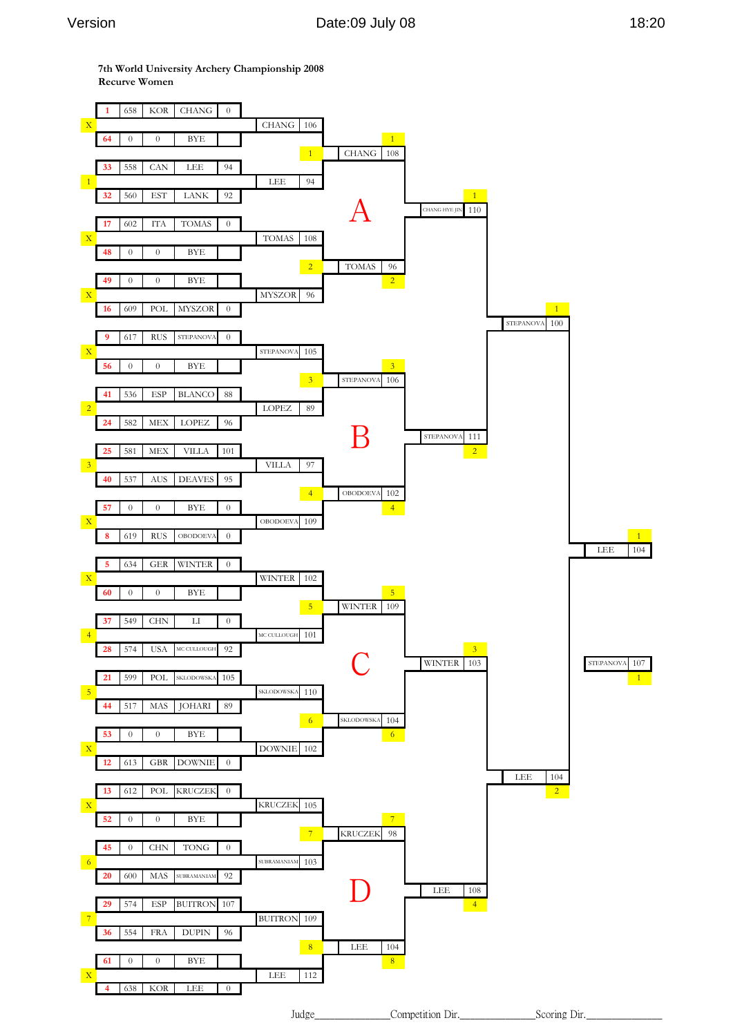**7th World University Archery Championship 2008 Recurve Women**